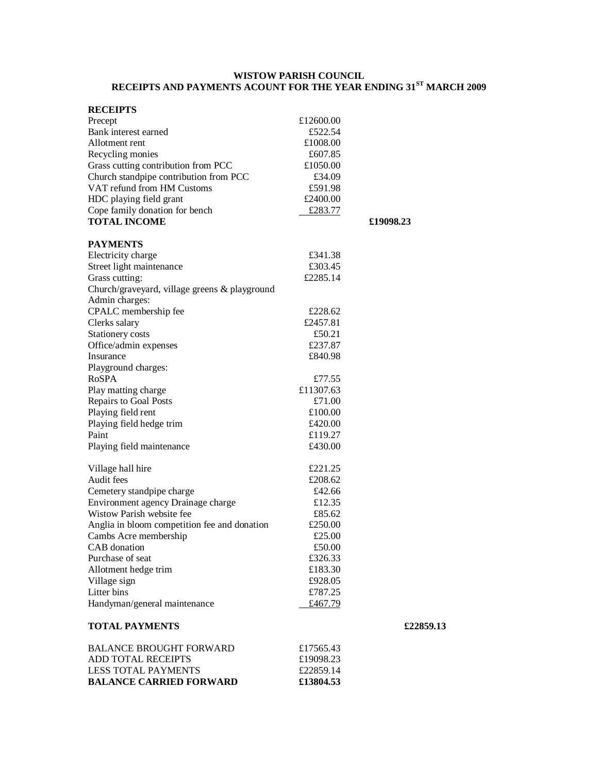### **WISTOW PARISH COUNCIL RECEIPTS AND PAYMENTS ACOUNT FOR THE YEAR ENDING 31ST MARCH 2009**

| <b>RECEIPTS</b>                               |           |           |
|-----------------------------------------------|-----------|-----------|
| Precept                                       | £12600.00 |           |
| Bank interest earned                          | £522.54   |           |
| Allotment rent                                | £1008.00  |           |
| Recycling monies                              | £607.85   |           |
| Grass cutting contribution from PCC           | £1050.00  |           |
| Church standpipe contribution from PCC        | £34.09    |           |
| VAT refund from HM Customs                    | £591.98   |           |
| HDC playing field grant                       | £2400.00  |           |
| Cope family donation for bench                | £283.77   |           |
| <b>TOTAL INCOME</b>                           |           | £19098.23 |
|                                               |           |           |
| <b>PAYMENTS</b>                               |           |           |
| Electricity charge                            | £341.38   |           |
| Street light maintenance                      | £303.45   |           |
| Grass cutting:                                | £2285.14  |           |
| Church/graveyard, village greens & playground |           |           |
| Admin charges:                                |           |           |
| CPALC membership fee                          | £228.62   |           |
| Clerks salary                                 | £2457.81  |           |
| Stationery costs                              | £50.21    |           |
| Office/admin expenses                         | £237.87   |           |
| Insurance                                     | £840.98   |           |
| Playground charges:                           |           |           |
| <b>RoSPA</b>                                  | £77.55    |           |
| Play matting charge                           | £11307.63 |           |
| Repairs to Goal Posts                         | £71.00    |           |
| Playing field rent                            | £100.00   |           |
| Playing field hedge trim                      | £420.00   |           |
| Paint                                         | £119.27   |           |
| Playing field maintenance                     | £430.00   |           |
| Village hall hire                             | £221.25   |           |
| Audit fees                                    | £208.62   |           |
| Cemetery standpipe charge                     | £42.66    |           |
| Environment agency Drainage charge            | £12.35    |           |
| Wistow Parish website fee                     | £85.62    |           |
| Anglia in bloom competition fee and donation  | £250.00   |           |
| Cambs Acre membership                         | £25.00    |           |
| CAB donation                                  | £50.00    |           |
| Purchase of seat                              | £326.33   |           |
| Allotment hedge trim                          | £183.30   |           |
| Village sign                                  | £928.05   |           |
| Litter bins                                   | £787.25   |           |
| Handyman/general maintenance                  | £467.79   |           |
| <b>TOTAL PAYMENTS</b>                         |           | £         |

| £19098.23<br>£22859.14 |
|------------------------|
| £17565.43              |
|                        |

# **TOTAL PAYMENTS £22859.13**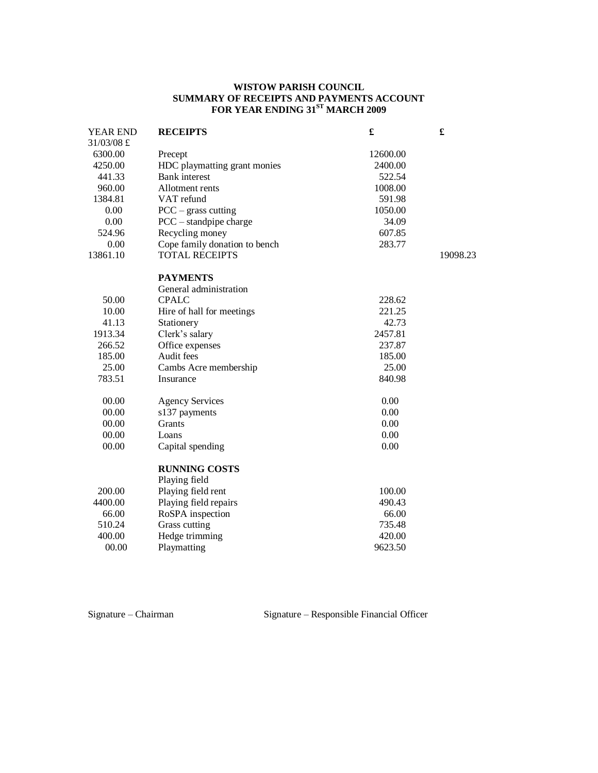### **WISTOW PARISH COUNCIL SUMMARY OF RECEIPTS AND PAYMENTS ACCOUNT FOR YEAR ENDING 31ST MARCH 2009**

| YEAR END   | <b>RECEIPTS</b>               | £        | £        |
|------------|-------------------------------|----------|----------|
| 31/03/08 £ |                               |          |          |
| 6300.00    | Precept                       | 12600.00 |          |
| 4250.00    | HDC playmatting grant monies  | 2400.00  |          |
| 441.33     | <b>Bank</b> interest          | 522.54   |          |
| 960.00     | Allotment rents               | 1008.00  |          |
| 1384.81    | VAT refund                    | 591.98   |          |
| 0.00       | $PCC - grass cutting$         | 1050.00  |          |
| 0.00       | $PCC - standpoint charge$     | 34.09    |          |
| 524.96     | Recycling money               | 607.85   |          |
| 0.00       | Cope family donation to bench | 283.77   |          |
| 13861.10   | <b>TOTAL RECEIPTS</b>         |          | 19098.23 |
|            |                               |          |          |
|            | <b>PAYMENTS</b>               |          |          |
|            | General administration        |          |          |
| 50.00      | <b>CPALC</b>                  | 228.62   |          |
| 10.00      | Hire of hall for meetings     | 221.25   |          |
| 41.13      | Stationery                    | 42.73    |          |
| 1913.34    | Clerk's salary                | 2457.81  |          |
| 266.52     | Office expenses               | 237.87   |          |
| 185.00     | Audit fees                    | 185.00   |          |
| 25.00      | Cambs Acre membership         | 25.00    |          |
| 783.51     | Insurance                     | 840.98   |          |
|            |                               |          |          |
| 00.00      | <b>Agency Services</b>        | 0.00     |          |
| 00.00      | s137 payments                 | 0.00     |          |
| 00.00      | Grants                        | 0.00     |          |
| 00.00      | Loans                         | 0.00     |          |
| 00.00      | Capital spending              | 0.00     |          |
|            | <b>RUNNING COSTS</b>          |          |          |
|            | Playing field                 |          |          |
| 200.00     | Playing field rent            | 100.00   |          |
| 4400.00    | Playing field repairs         | 490.43   |          |
| 66.00      | RoSPA inspection              | 66.00    |          |
| 510.24     | Grass cutting                 | 735.48   |          |
| 400.00     | Hedge trimming                | 420.00   |          |
| 00.00      | Playmatting                   | 9623.50  |          |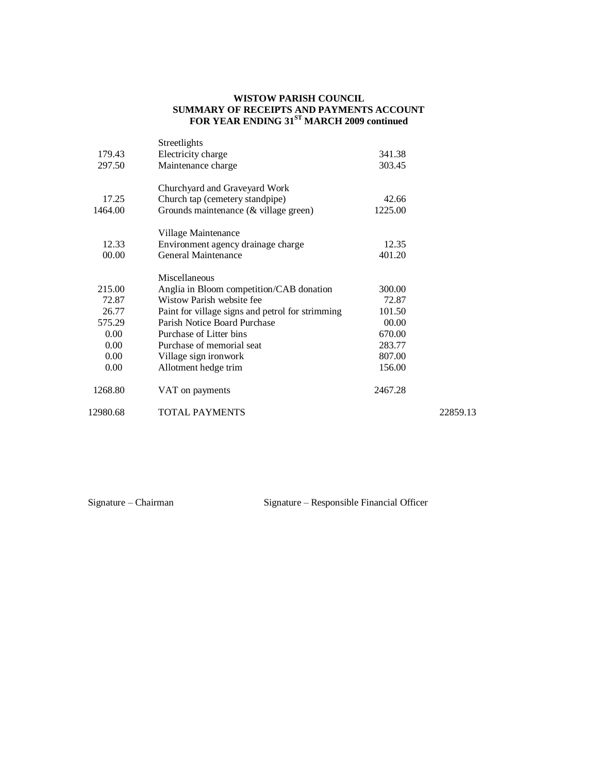### **WISTOW PARISH COUNCIL SUMMARY OF RECEIPTS AND PAYMENTS ACCOUNT FOR YEAR ENDING 31ST MARCH 2009 continued**

|          | Streetlights                                     |         |          |
|----------|--------------------------------------------------|---------|----------|
| 179.43   | Electricity charge                               | 341.38  |          |
| 297.50   | Maintenance charge                               | 303.45  |          |
|          | Churchyard and Graveyard Work                    |         |          |
| 17.25    | Church tap (cemetery standpipe)                  | 42.66   |          |
| 1464.00  | Grounds maintenance $(\&$ village green)         | 1225.00 |          |
|          | Village Maintenance                              |         |          |
| 12.33    | Environment agency drainage charge               | 12.35   |          |
| 00.00    | General Maintenance                              | 401.20  |          |
|          | Miscellaneous                                    |         |          |
| 215.00   | Anglia in Bloom competition/CAB donation         | 300.00  |          |
| 72.87    | Wistow Parish website fee                        | 72.87   |          |
| 26.77    | Paint for village signs and petrol for strimming | 101.50  |          |
| 575.29   | Parish Notice Board Purchase                     | 00.00   |          |
| 0.00     | Purchase of Litter bins                          | 670.00  |          |
| 0.00     | Purchase of memorial seat                        | 283.77  |          |
| $0.00\,$ | Village sign ironwork                            | 807.00  |          |
| 0.00     | Allotment hedge trim                             | 156.00  |          |
| 1268.80  | VAT on payments                                  | 2467.28 |          |
| 12980.68 | <b>TOTAL PAYMENTS</b>                            |         | 22859.13 |
|          |                                                  |         |          |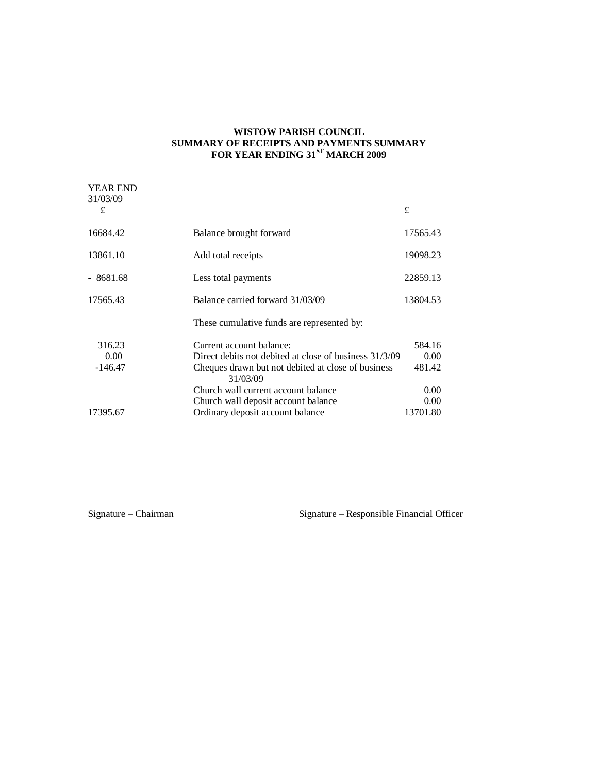### **WISTOW PARISH COUNCIL SUMMARY OF RECEIPTS AND PAYMENTS SUMMARY FOR YEAR ENDING 31ST MARCH 2009**

| <b>YEAR END</b> |                                                                |          |
|-----------------|----------------------------------------------------------------|----------|
| 31/03/09<br>£   |                                                                | £        |
| 16684.42        | Balance brought forward                                        | 17565.43 |
| 13861.10        | Add total receipts                                             | 19098.23 |
| $-8681.68$      | Less total payments                                            | 22859.13 |
| 17565.43        | Balance carried forward 31/03/09                               | 13804.53 |
|                 | These cumulative funds are represented by:                     |          |
| 316.23          | Current account balance:                                       | 584.16   |
| 0.00            | Direct debits not debited at close of business 31/3/09         | 0.00     |
| $-146.47$       | Cheques drawn but not debited at close of business<br>31/03/09 | 481.42   |
|                 | Church wall current account balance                            | 0.00     |
|                 | Church wall deposit account balance                            | 0.00     |
| 17395.67        | Ordinary deposit account balance                               | 13701.80 |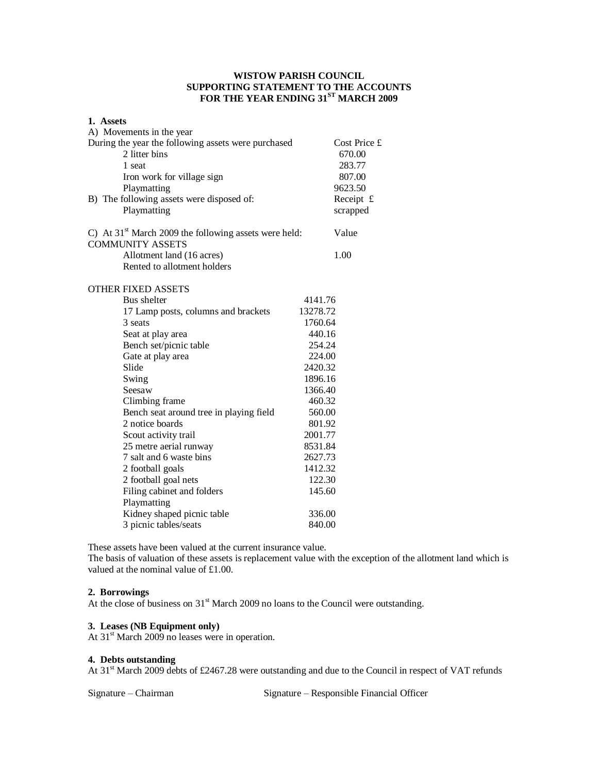## **WISTOW PARISH COUNCIL SUPPORTING STATEMENT TO THE ACCOUNTS FOR THE YEAR ENDING 31ST MARCH 2009**

| 1. Assets<br>A) Movements in the year                                                                                                                                                   |                                                                                  |
|-----------------------------------------------------------------------------------------------------------------------------------------------------------------------------------------|----------------------------------------------------------------------------------|
| During the year the following assets were purchased<br>2 litter bins<br>1 seat<br>Iron work for village sign<br>Playmatting<br>B) The following assets were disposed of:<br>Playmatting | Cost Price £<br>670.00<br>283.77<br>807.00<br>9623.50<br>Receipt $f$<br>scrapped |
| C) At $31st$ March 2009 the following assets were held:<br><b>COMMUNITY ASSETS</b>                                                                                                      | Value                                                                            |
| Allotment land (16 acres)<br>Rented to allotment holders                                                                                                                                | 1.00                                                                             |
| <b>OTHER FIXED ASSETS</b>                                                                                                                                                               |                                                                                  |
| Bus shelter                                                                                                                                                                             | 4141.76                                                                          |
| 17 Lamp posts, columns and brackets                                                                                                                                                     | 13278.72                                                                         |
| 3 seats                                                                                                                                                                                 | 1760.64                                                                          |
| Seat at play area                                                                                                                                                                       | 440.16                                                                           |
| Bench set/picnic table                                                                                                                                                                  | 254.24                                                                           |
| Gate at play area                                                                                                                                                                       | 224.00                                                                           |
| Slide                                                                                                                                                                                   | 2420.32                                                                          |
| Swing                                                                                                                                                                                   | 1896.16                                                                          |
| Seesaw                                                                                                                                                                                  | 1366.40                                                                          |
| Climbing frame                                                                                                                                                                          | 460.32                                                                           |
| Bench seat around tree in playing field                                                                                                                                                 | 560.00                                                                           |
| 2 notice boards                                                                                                                                                                         | 801.92                                                                           |
| Scout activity trail                                                                                                                                                                    | 2001.77                                                                          |
| 25 metre aerial runway                                                                                                                                                                  | 8531.84                                                                          |
| 7 salt and 6 waste bins                                                                                                                                                                 | 2627.73                                                                          |
| 2 football goals                                                                                                                                                                        | 1412.32                                                                          |
| 2 football goal nets                                                                                                                                                                    | 122.30                                                                           |
| Filing cabinet and folders                                                                                                                                                              | 145.60                                                                           |
| Playmatting                                                                                                                                                                             |                                                                                  |
| Kidney shaped picnic table                                                                                                                                                              | 336.00                                                                           |
| 3 picnic tables/seats                                                                                                                                                                   | 840.00                                                                           |

These assets have been valued at the current insurance value.

The basis of valuation of these assets is replacement value with the exception of the allotment land which is valued at the nominal value of £1.00.

## **2. Borrowings**

At the close of business on 31<sup>st</sup> March 2009 no loans to the Council were outstanding.

### **3. Leases (NB Equipment only)**

At  $31<sup>st</sup>$  March 2009 no leases were in operation.

#### **4. Debts outstanding**

At 31<sup>st</sup> March 2009 debts of £2467.28 were outstanding and due to the Council in respect of VAT refunds